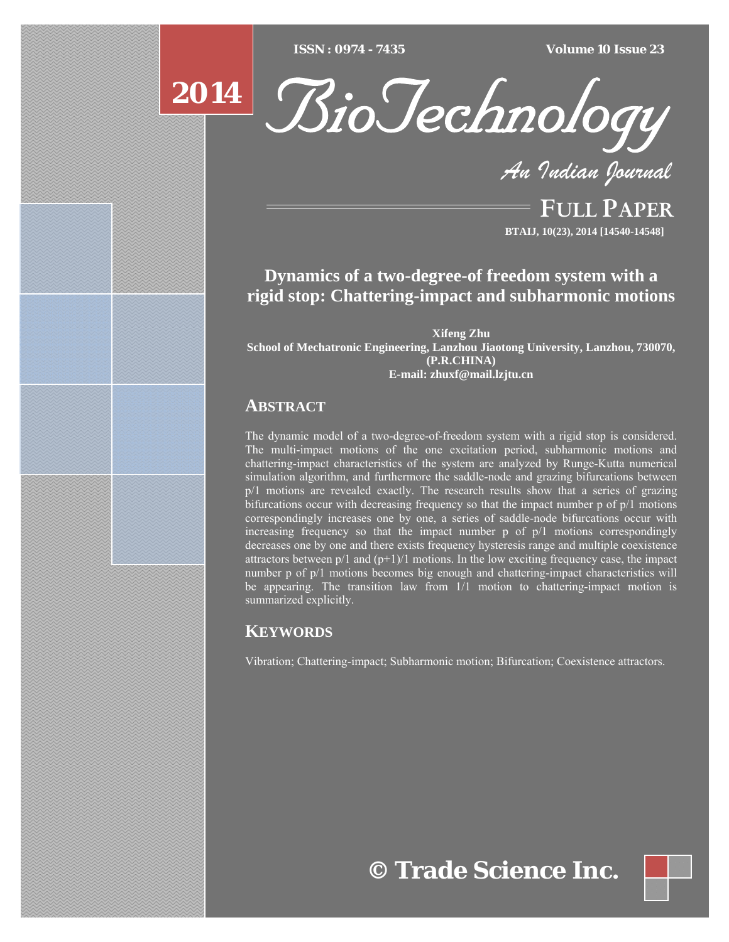$ISSN : 0974 - 7435$ 

*ISSN : 0974 - 7435 Volume 10 Issue 23*

# **2014**



*An Indian Journal*

FULL PAPER **BTAIJ, 10(23), 2014 [14540-14548]**

## **Dynamics of a two-degree-of freedom system with a rigid stop: Chattering-impact and subharmonic motions**

**Xifeng Zhu School of Mechatronic Engineering, Lanzhou Jiaotong University, Lanzhou, 730070, (P.R.CHINA) E-mail: zhuxf@mail.lzjtu.cn** 

### **ABSTRACT**

The dynamic model of a two-degree-of-freedom system with a rigid stop is considered. The multi-impact motions of the one excitation period, subharmonic motions and chattering-impact characteristics of the system are analyzed by Runge-Kutta numerical simulation algorithm, and furthermore the saddle-node and grazing bifurcations between p/1 motions are revealed exactly. The research results show that a series of grazing bifurcations occur with decreasing frequency so that the impact number p of p/1 motions correspondingly increases one by one, a series of saddle-node bifurcations occur with increasing frequency so that the impact number p of p/1 motions correspondingly decreases one by one and there exists frequency hysteresis range and multiple coexistence attractors between  $p/1$  and  $(p+1)/1$  motions. In the low exciting frequency case, the impact number p of p/1 motions becomes big enough and chattering-impact characteristics will be appearing. The transition law from 1/1 motion to chattering-impact motion is summarized explicitly.

## **KEYWORDS**

Vibration; Chattering-impact; Subharmonic motion; Bifurcation; Coexistence attractors.

**© Trade Science Inc.**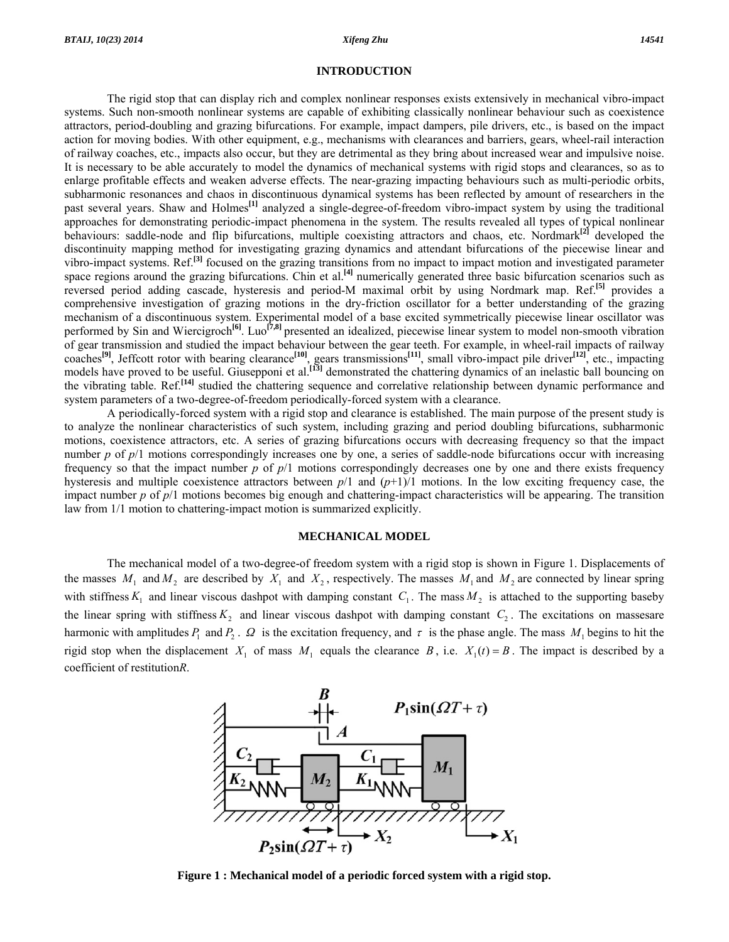#### **INTRODUCTION**

 The rigid stop that can display rich and complex nonlinear responses exists extensively in mechanical vibro-impact systems. Such non-smooth nonlinear systems are capable of exhibiting classically nonlinear behaviour such as coexistence attractors, period-doubling and grazing bifurcations. For example, impact dampers, pile drivers, etc., is based on the impact action for moving bodies. With other equipment, e.g., mechanisms with clearances and barriers, gears, wheel-rail interaction of railway coaches, etc., impacts also occur, but they are detrimental as they bring about increased wear and impulsive noise. It is necessary to be able accurately to model the dynamics of mechanical systems with rigid stops and clearances, so as to enlarge profitable effects and weaken adverse effects. The near-grazing impacting behaviours such as multi-periodic orbits, subharmonic resonances and chaos in discontinuous dynamical systems has been reflected by amount of researchers in the past several years. Shaw and Holmes**[1]** analyzed a single-degree-of-freedom vibro-impact system by using the traditional approaches for demonstrating periodic-impact phenomena in the system. The results revealed all types of typical nonlinear behaviours: saddle-node and flip bifurcations, multiple coexisting attractors and chaos, etc. Nordmark**[2]** developed the discontinuity mapping method for investigating grazing dynamics and attendant bifurcations of the piecewise linear and vibro-impact systems. Ref.**[3]** focused on the grazing transitions from no impact to impact motion and investigated parameter space regions around the grazing bifurcations. Chin et al.<sup>[4]</sup> numerically generated three basic bifurcation scenarios such as reversed period adding cascade, hysteresis and period-M maximal orbit by using Nordmark map. Ref.**[5]** provides a comprehensive investigation of grazing motions in the dry-friction oscillator for a better understanding of the grazing mechanism of a discontinuous system. Experimental model of a base excited symmetrically piecewise linear oscillator was performed by Sin and Wiercigroch**[6]**. Luo**[7,8]** presented an idealized, piecewise linear system to model non-smooth vibration of gear transmission and studied the impact behaviour between the gear teeth. For example, in wheel-rail impacts of railway coaches**[9]**, Jeffcott rotor with bearing clearance**[10]**, gears transmissions**[11]**, small vibro-impact pile driver**[12]**, etc., impacting models have proved to be useful. Giusepponi et al.**[13]** demonstrated the chattering dynamics of an inelastic ball bouncing on the vibrating table. Ref.**[14]** studied the chattering sequence and correlative relationship between dynamic performance and system parameters of a two-degree-of-freedom periodically-forced system with a clearance.

 A periodically-forced system with a rigid stop and clearance is established. The main purpose of the present study is to analyze the nonlinear characteristics of such system, including grazing and period doubling bifurcations, subharmonic motions, coexistence attractors, etc. A series of grazing bifurcations occurs with decreasing frequency so that the impact number *p* of *p*/1 motions correspondingly increases one by one, a series of saddle-node bifurcations occur with increasing frequency so that the impact number *p* of *p*/1 motions correspondingly decreases one by one and there exists frequency hysteresis and multiple coexistence attractors between  $p/1$  and  $(p+1)/1$  motions. In the low exciting frequency case, the impact number *p* of *p*/1 motions becomes big enough and chattering-impact characteristics will be appearing. The transition law from 1/1 motion to chattering-impact motion is summarized explicitly.

#### **MECHANICAL MODEL**

 The mechanical model of a two-degree-of freedom system with a rigid stop is shown in Figure 1. Displacements of the masses  $M_1$  and  $M_2$  are described by  $X_1$  and  $X_2$ , respectively. The masses  $M_1$  and  $M_2$  are connected by linear spring with stiffness  $K_1$  and linear viscous dashpot with damping constant  $C_1$ . The mass  $M_2$  is attached to the supporting baseby the linear spring with stiffness  $K_2$  and linear viscous dashpot with damping constant  $C_2$ . The excitations on massesare harmonic with amplitudes  $P_1$  and  $P_2$ .  $\Omega$  is the excitation frequency, and  $\tau$  is the phase angle. The mass  $M_1$  begins to hit the rigid stop when the displacement  $X_1$  of mass  $M_1$  equals the clearance  $B$ , i.e.  $X_1(t) = B$ . The impact is described by a coefficient of restitution*R*.



**Figure 1 : Mechanical model of a periodic forced system with a rigid stop.**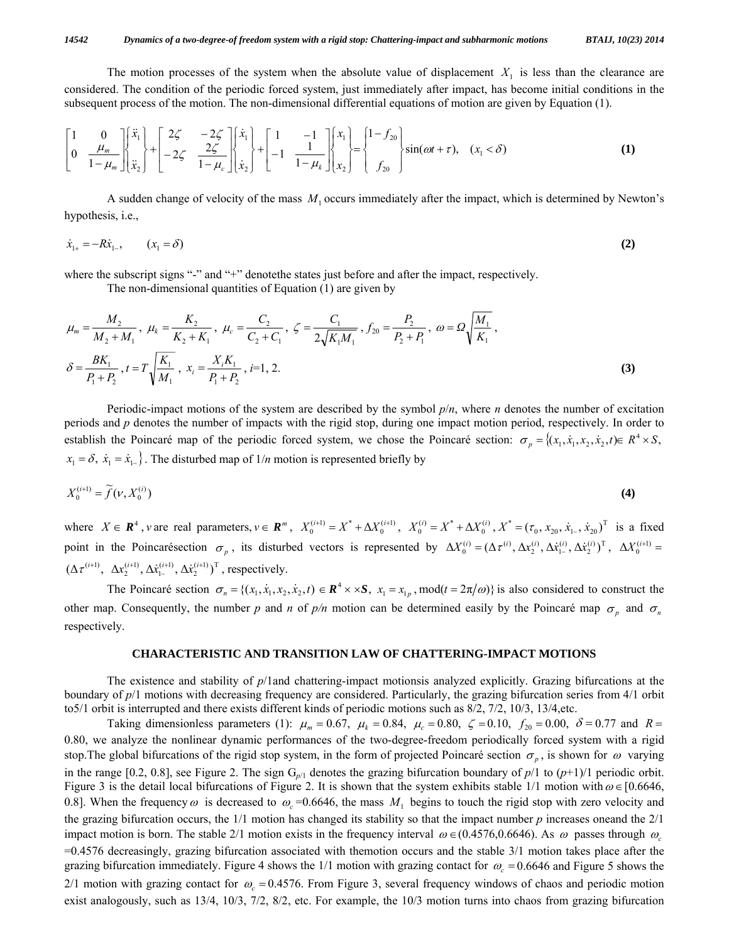The motion processes of the system when the absolute value of displacement  $X_1$  is less than the clearance are considered. The condition of the periodic forced system, just immediately after impact, has become initial conditions in the subsequent process of the motion. The non-dimensional differential equations of motion are given by Equation (1).

$$
\begin{bmatrix} 1 & 0 \ 0 & \frac{\mu_m}{1-\mu_m} \end{bmatrix} \begin{bmatrix} \ddot{x}_1 \\ \ddot{x}_2 \end{bmatrix} + \begin{bmatrix} 2\zeta & -2\zeta \\ -2\zeta & \frac{2\zeta}{1-\mu_c} \end{bmatrix} \begin{bmatrix} \dot{x}_1 \\ \dot{x}_2 \end{bmatrix} + \begin{bmatrix} 1 & -1 \\ -1 & \frac{1}{1-\mu_k} \end{bmatrix} \begin{bmatrix} x_1 \\ x_2 \end{bmatrix} = \begin{Bmatrix} 1-f_{20} \\ f_{20} \end{Bmatrix} \sin(\omega t + \tau), \quad (x_1 < \delta)
$$
 (1)

 A sudden change of velocity of the mass *M*<sup>1</sup> occurs immediately after the impact, which is determined by Newton's hypothesis, i.e.,

$$
\dot{x}_{1+} = -R\dot{x}_{1-}, \qquad (x_1 = \delta) \tag{2}
$$

where the subscript signs "-" and "+" denote the states just before and after the impact, respectively.

The non-dimensional quantities of Equation (1) are given by

$$
\mu_m = \frac{M_2}{M_2 + M_1}, \ \mu_k = \frac{K_2}{K_2 + K_1}, \ \mu_c = \frac{C_2}{C_2 + C_1}, \ \zeta = \frac{C_1}{2\sqrt{K_1 M_1}}, f_{20} = \frac{P_2}{P_2 + P_1}, \ \omega = \Omega \sqrt{\frac{M_1}{K_1}},
$$
\n
$$
\delta = \frac{BK_1}{P_1 + P_2}, t = T \sqrt{\frac{K_1}{M_1}}, \ x_i = \frac{X_i K_1}{P_1 + P_2}, i = 1, 2.
$$
\n(3)

 Periodic-impact motions of the system are described by the symbol *p*/*n*, where *n* denotes the number of excitation periods and *p* denotes the number of impacts with the rigid stop, during one impact motion period, respectively. In order to establish the Poincaré map of the periodic forced system, we chose the Poincaré section:  $\sigma_p = \{(x_1, x_1, x_2, x_2, t) \in R^4 \times S,$  $x_1 = \delta$ ,  $\dot{x}_1 = \dot{x}_{1-}$ . The disturbed map of  $1/n$  motion is represented briefly by

$$
X_0^{(i+1)} = \widetilde{f}(\nu, X_0^{(i)})
$$
\n<sup>(4)</sup>

where  $X \in \mathbb{R}^4$ , vare real parameters,  $v \in \mathbb{R}^m$ ,  $X_0^{(i+1)} = X^* + \Delta X_0^{(i+1)}$ ,  $X_0^{(i)} = X^* + \Delta X_0^{(i)}$ ,  $X^* = (\tau_0, x_{20}, \dot{x}_{1-}, \dot{x}_{20})^T$  is a fixed point in the Poincarésection  $\sigma_p$ , its disturbed vectors is represented by  $\Delta X_0^{(i)} = (\Delta \tau^{(i)}, \Delta x_2^{(i)}, \Delta x_1^{(i)}, \Delta x_2^{(i)})^T$ ,  $\Delta X_0^{(i+1)} =$  $(\Delta \tau^{(i+1)}, \ \Delta x_2^{(i+1)}, \Delta \dot{x}_{1-}^{(i+1)}, \Delta \dot{x}_2^{(i+1)})^{\text{T}}$ , respectively.

The Poincaré section  $\sigma_n = \{(x_1, \dot{x}_1, x_2, \dot{x}_2, t) \in \mathbb{R}^4 \times \times \mathbb{S}, x_1 = x_{1v} \text{, mod}(t = 2\pi/\omega)\}$  is also considered to construct the other map. Consequently, the number *p* and *n* of  $p/n$  motion can be determined easily by the Poincaré map  $\sigma_p$  and  $\sigma_n$ respectively.

#### **CHARACTERISTIC AND TRANSITION LAW OF CHATTERING-IMPACT MOTIONS**

 The existence and stability of *p*/1and chattering-impact motionsis analyzed explicitly. Grazing bifurcations at the boundary of *p*/1 motions with decreasing frequency are considered. Particularly, the grazing bifurcation series from 4/1 orbit to5/1 orbit is interrupted and there exists different kinds of periodic motions such as 8/2, 7/2, 10/3, 13/4,etc.

Taking dimensionless parameters (1):  $\mu_m = 0.67$ ,  $\mu_k = 0.84$ ,  $\mu_c = 0.80$ ,  $\zeta = 0.10$ ,  $f_{20} = 0.00$ ,  $\delta = 0.77$  and  $R =$ 0.80, we analyze the nonlinear dynamic performances of the two-degree-freedom periodically forced system with a rigid stop. The global bifurcations of the rigid stop system, in the form of projected Poincaré section  $\sigma_p$ , is shown for  $\omega$  varying in the range [0.2, 0.8], see Figure 2. The sign  $G_{p/1}$  denotes the grazing bifurcation boundary of  $p/1$  to  $(p+1)/1$  periodic orbit. Figure 3 is the detail local bifurcations of Figure 2. It is shown that the system exhibits stable 1/1 motion with  $\omega \in [0.6646,$ 0.8]. When the frequency  $\omega$  is decreased to  $\omega_c$  =0.6646, the mass  $M_1$  begins to touch the rigid stop with zero velocity and the grazing bifurcation occurs, the 1/1 motion has changed its stability so that the impact number *p* increases oneand the 2/1 impact motion is born. The stable 2/1 motion exists in the frequency interval  $\omega \in (0.4576, 0.6646)$ . As  $\omega$  passes through  $\omega$ =0.4576 decreasingly, grazing bifurcation associated with themotion occurs and the stable 3/1 motion takes place after the grazing bifurcation immediately. Figure 4 shows the 1/1 motion with grazing contact for  $\omega_c = 0.6646$  and Figure 5 shows the 2/1 motion with grazing contact for  $\omega_c = 0.4576$ . From Figure 3, several frequency windows of chaos and periodic motion exist analogously, such as 13/4, 10/3, 7/2, 8/2, etc. For example, the 10/3 motion turns into chaos from grazing bifurcation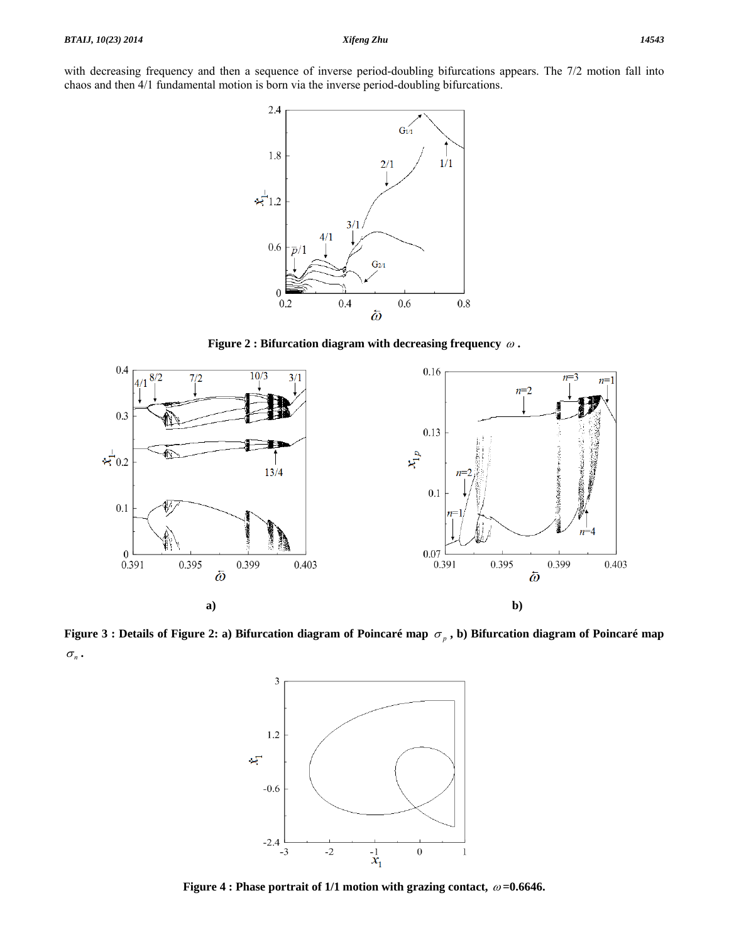with decreasing frequency and then a sequence of inverse period-doubling bifurcations appears. The 7/2 motion fall into chaos and then 4/1 fundamental motion is born via the inverse period-doubling bifurcations.



**Figure 2 : Bifurcation diagram with decreasing frequency** <sup>ω</sup> **.** 



**Figure 3 : Details of Figure 2: a) Bifurcation diagram of Poincaré map**  $\sigma_p$ , b) Bifurcation diagram of Poincaré map  $\sigma_{n}$ .



**Figure 4 : Phase portrait of 1/1 motion with grazing contact,** <sup>ω</sup> **=0.6646.**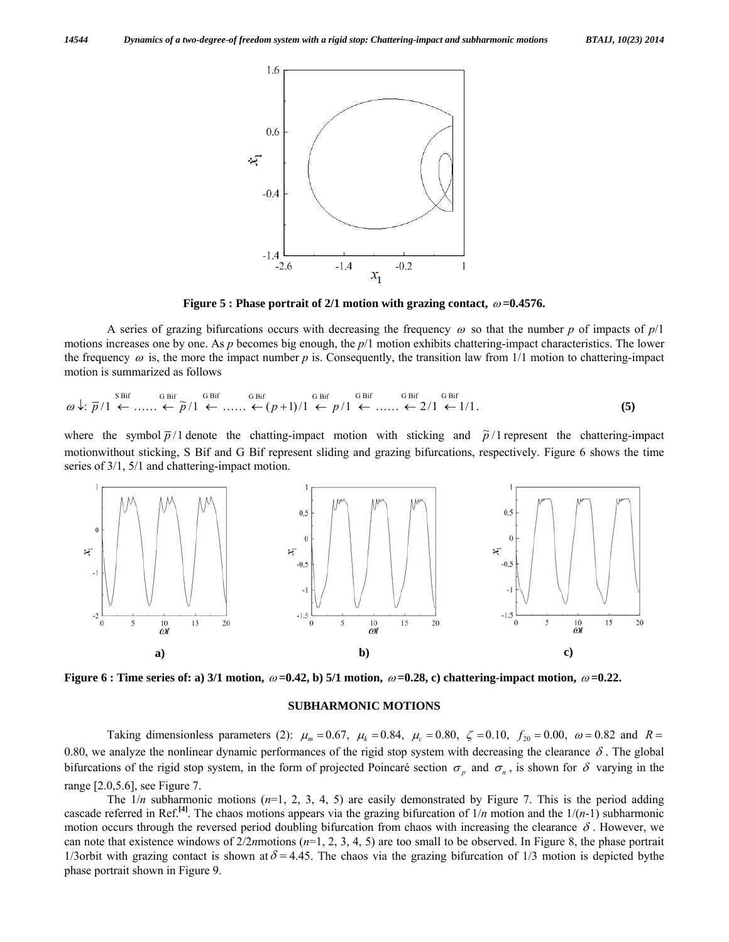

**Figure 5 : Phase portrait of 2/1 motion with grazing contact,**  $\omega$ **=0.4576.** 

A series of grazing bifurcations occurs with decreasing the frequency  $\omega$  so that the number p of impacts of  $p/1$ motions increases one by one. As *p* becomes big enough, the *p*/1 motion exhibits chattering-impact characteristics. The lower the frequency  $\omega$  is, the more the impact number  $p$  is. Consequently, the transition law from 1/1 motion to chattering-impact motion is summarized as follows

$$
\omega \downarrow: \overline{p}/1 \stackrel{\text{SBiff}}{\leftarrow} \dots \stackrel{\text{GBiff}}{\leftarrow} \overline{p}/1 \stackrel{\text{GBiff}}{\leftarrow} \dots \stackrel{\text{GBiff}}{\leftarrow} (p+1)/1 \stackrel{\text{GBiff}}{\leftarrow} p/1 \stackrel{\text{GBiff}}{\leftarrow} \dots \stackrel{\text{GBiff}}{\leftarrow} 2/1 \stackrel{\text{GBiff}}{\leftarrow} 1/1. \tag{5}
$$

where the symbol  $\bar{p}/1$  denote the chatting-impact motion with sticking and  $\tilde{p}/1$  represent the chattering-impact motionwithout sticking, S Bif and G Bif represent sliding and grazing bifurcations, respectively. Figure 6 shows the time series of 3/1, 5/1 and chattering-impact motion.



**Figure 6 : Time series of: a) 3/1 motion,**  $\omega = 0.42$ , b) 5/1 motion,  $\omega = 0.28$ , c) chattering-impact motion,  $\omega = 0.22$ .

#### **SUBHARMONIC MOTIONS**

Taking dimensionless parameters (2):  $\mu_m = 0.67$ ,  $\mu_k = 0.84$ ,  $\mu_c = 0.80$ ,  $\zeta = 0.10$ ,  $f_{20} = 0.00$ ,  $\omega = 0.82$  and  $R =$ 0.80, we analyze the nonlinear dynamic performances of the rigid stop system with decreasing the clearance  $\delta$ . The global bifurcations of the rigid stop system, in the form of projected Poincaré section  $\sigma_p$  and  $\sigma_n$ , is shown for  $\delta$  varying in the range [2.0,5.6], see Figure 7.

The  $1/n$  subharmonic motions  $(n=1, 2, 3, 4, 5)$  are easily demonstrated by Figure 7. This is the period adding cascade referred in Ref.<sup>[4]</sup>. The chaos motions appears via the grazing bifurcation of  $1/n$  motion and the  $1/(n-1)$  subharmonic motion occurs through the reversed period doubling bifurcation from chaos with increasing the clearance  $\delta$ . However, we can note that existence windows of 2/2*n*motions (*n*=1, 2, 3, 4, 5) are too small to be observed. In Figure 8, the phase portrait 1/3orbit with grazing contact is shown at  $\delta = 4.45$ . The chaos via the grazing bifurcation of 1/3 motion is depicted bythe phase portrait shown in Figure 9.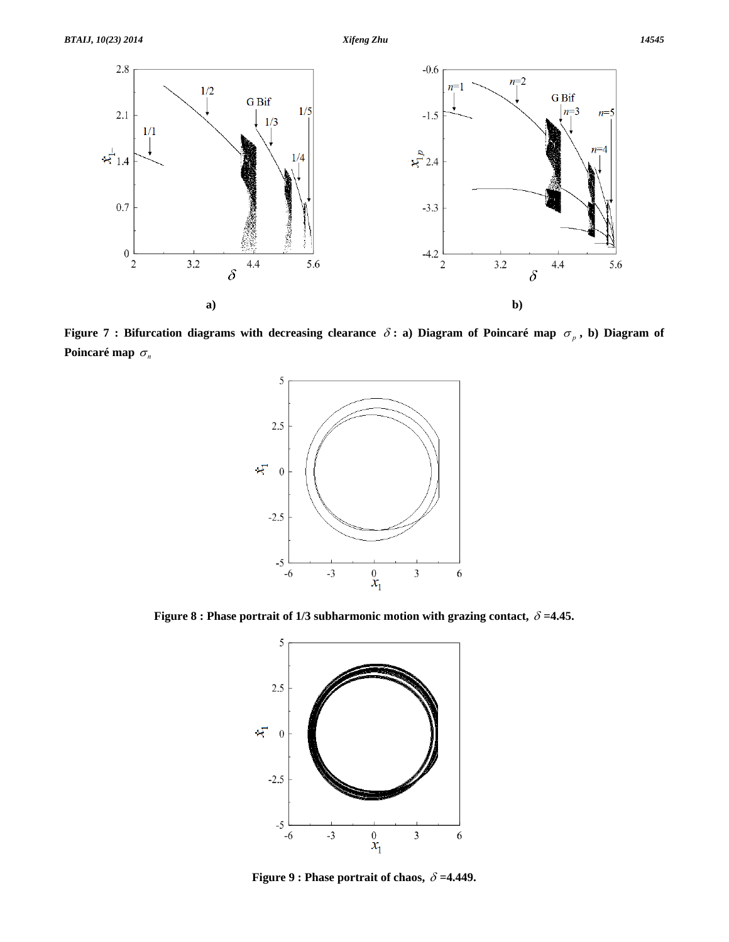

**Figure 7 : Bifurcation diagrams with decreasing clearance**  $\delta$  **: a) Diagram of Poincaré map**  $\sigma_p$ **, b) Diagram of Poincaré map**  $\sigma_n$ 



**Figure 8 : Phase portrait of 1/3 subharmonic motion with grazing contact,** δ **=4.45.** 



**Figure 9 : Phase portrait of chaos,** δ **=4.449.**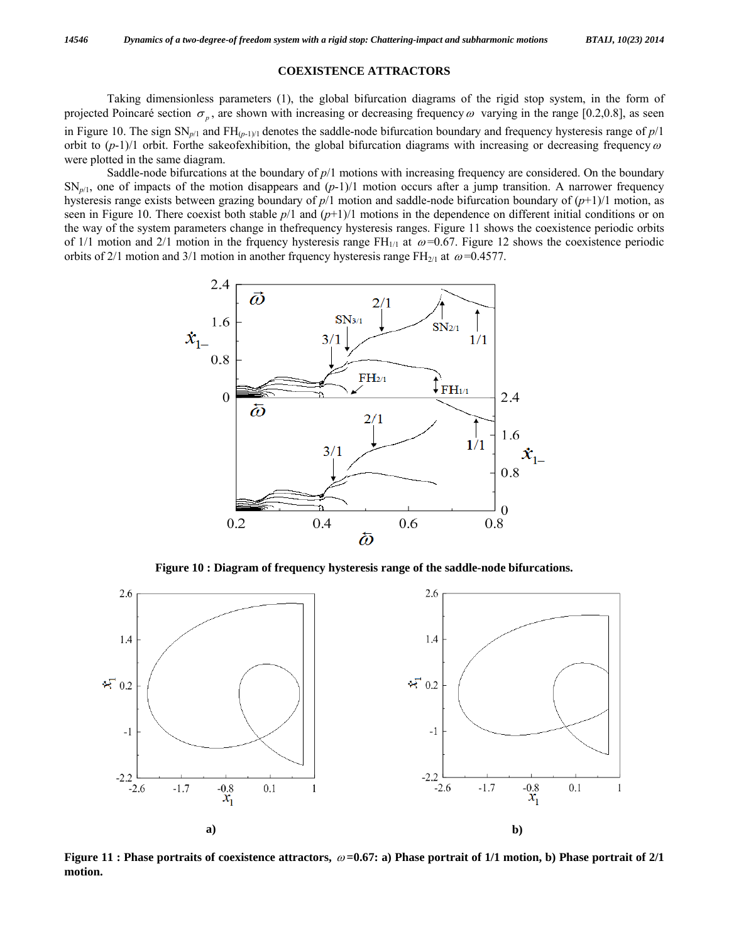#### **COEXISTENCE ATTRACTORS**

 Taking dimensionless parameters (1), the global bifurcation diagrams of the rigid stop system, in the form of projected Poincaré section  $\sigma_p$ , are shown with increasing or decreasing frequency  $\omega$  varying in the range [0.2,0.8], as seen in Figure 10. The sign SN*p*/1 and FH(*p*-1)/1 denotes the saddle-node bifurcation boundary and frequency hysteresis range of *p*/1 orbit to  $(p-1)/1$  orbit. Forthe sakeofexhibition, the global bifurcation diagrams with increasing or decreasing frequency  $\omega$ were plotted in the same diagram.

Saddle-node bifurcations at the boundary of  $p/1$  motions with increasing frequency are considered. On the boundary  $SN_{p/1}$ , one of impacts of the motion disappears and  $(p-1)/1$  motion occurs after a jump transition. A narrower frequency hysteresis range exists between grazing boundary of *p*/1 motion and saddle-node bifurcation boundary of (*p*+1)/1 motion, as seen in Figure 10. There coexist both stable  $p/1$  and  $(p+1)/1$  motions in the dependence on different initial conditions or on the way of the system parameters change in thefrequency hysteresis ranges. Figure 11 shows the coexistence periodic orbits of 1/1 motion and 2/1 motion in the frquency hysteresis range  $FH_{1/1}$  at  $\omega$ =0.67. Figure 12 shows the coexistence periodic orbits of 2/1 motion and 3/1 motion in another frquency hysteresis range FH<sub>2/1</sub> at  $\omega$ =0.4577.



**Figure 10 : Diagram of frequency hysteresis range of the saddle-node bifurcations.** 



**Figure 11 : Phase portraits of coexistence attractors,** <sup>ω</sup> **=0.67: a) Phase portrait of 1/1 motion, b) Phase portrait of 2/1 motion.**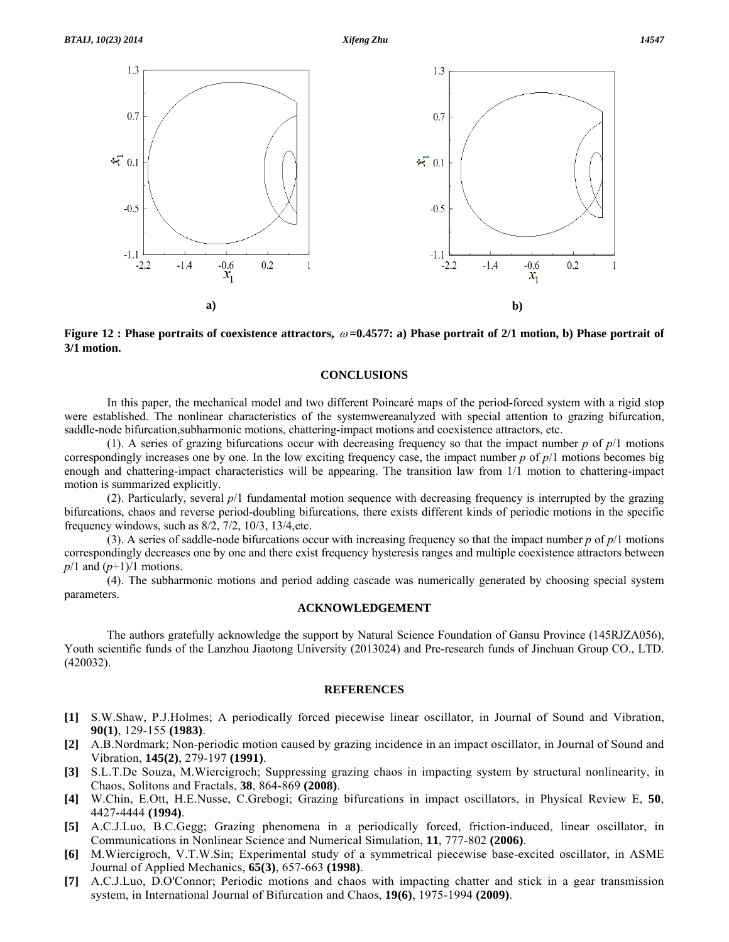

**a) b)**

**Figure 12 : Phase portraits of coexistence attractors,** <sup>ω</sup> **=0.4577: a) Phase portrait of 2/1 motion, b) Phase portrait of 3/1 motion.** 

#### **CONCLUSIONS**

 In this paper, the mechanical model and two different Poincaré maps of the period-forced system with a rigid stop were established. The nonlinear characteristics of the systemwereanalyzed with special attention to grazing bifurcation, saddle-node bifurcation,subharmonic motions, chattering-impact motions and coexistence attractors, etc.

(1). A series of grazing bifurcations occur with decreasing frequency so that the impact number  $p$  of  $p/1$  motions correspondingly increases one by one. In the low exciting frequency case, the impact number *p* of *p*/1 motions becomes big enough and chattering-impact characteristics will be appearing. The transition law from 1/1 motion to chattering-impact motion is summarized explicitly.

 (2). Particularly, several *p*/1 fundamental motion sequence with decreasing frequency is interrupted by the grazing bifurcations, chaos and reverse period-doubling bifurcations, there exists different kinds of periodic motions in the specific frequency windows, such as 8/2, 7/2, 10/3, 13/4,etc.

 (3). A series of saddle-node bifurcations occur with increasing frequency so that the impact number *p* of *p*/1 motions correspondingly decreases one by one and there exist frequency hysteresis ranges and multiple coexistence attractors between *p*/1 and (*p*+1)/1 motions.

 (4). The subharmonic motions and period adding cascade was numerically generated by choosing special system parameters.

#### **ACKNOWLEDGEMENT**

 The authors gratefully acknowledge the support by Natural Science Foundation of Gansu Province (145RJZA056), Youth scientific funds of the Lanzhou Jiaotong University (2013024) and Pre-research funds of Jinchuan Group CO., LTD. (420032).

#### **REFERENCES**

- **[1]** S.W.Shaw, P.J.Holmes; A periodically forced piecewise linear oscillator, in Journal of Sound and Vibration, **90(1)**, 129-155 **(1983)**.
- **[2]** A.B.Nordmark; Non-periodic motion caused by grazing incidence in an impact oscillator, in Journal of Sound and Vibration, **145(2)**, 279-197 **(1991)**.
- **[3]** S.L.T.De Souza, M.Wiercigroch; Suppressing grazing chaos in impacting system by structural nonlinearity, in Chaos, Solitons and Fractals, **38**, 864-869 **(2008)**.
- **[4]** W.Chin, E.Ott, H.E.Nusse, C.Grebogi; Grazing bifurcations in impact oscillators, in Physical Review E, **50**, 4427-4444 **(1994)**.
- **[5]** A.C.J.Luo, B.C.Gegg; Grazing phenomena in a periodically forced, friction-induced, linear oscillator, in Communications in Nonlinear Science and Numerical Simulation, **11**, 777-802 **(2006)**.
- **[6]** M.Wiercigroch, V.T.W.Sin; Experimental study of a symmetrical piecewise base-excited oscillator, in ASME Journal of Applied Mechanics, **65(3)**, 657-663 **(1998)**.
- **[7]** A.C.J.Luo, D.O'Connor; Periodic motions and chaos with impacting chatter and stick in a gear transmission system, in International Journal of Bifurcation and Chaos, **19(6)**, 1975-1994 **(2009)**.

 $x_1$